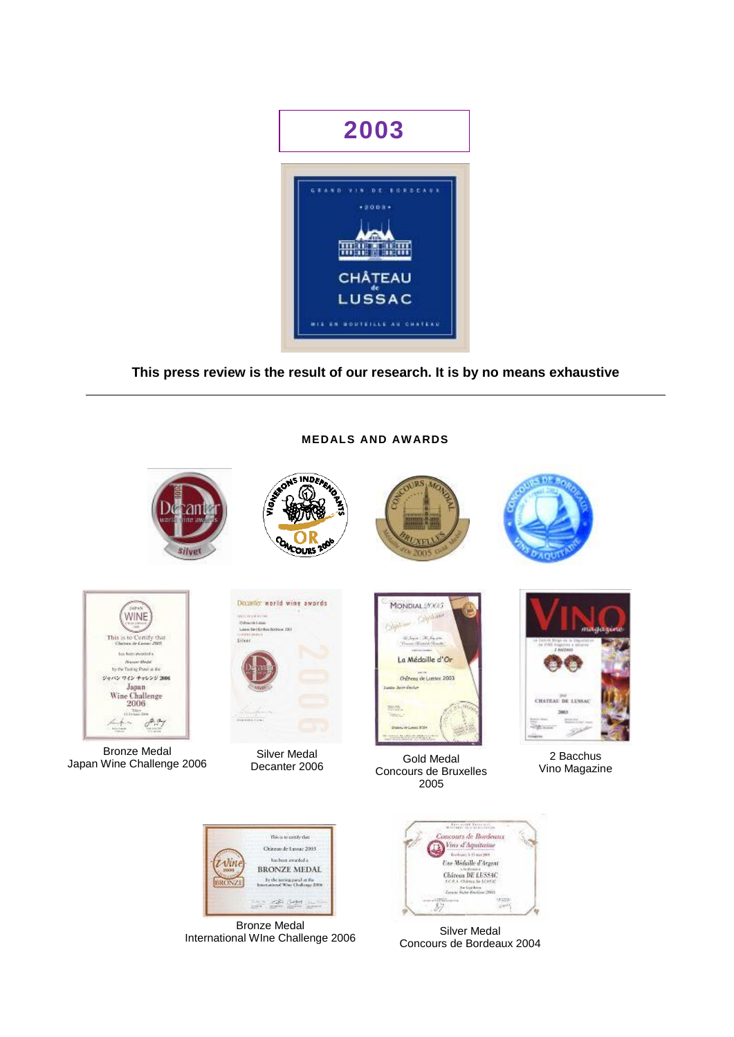

# **This press review is the result of our research. It is by no means exhaustive**

## **MEDALS AND AWARDS**











Bronze Medal Bronze Medal Silver Medal Silver Medal Gold Medal 2 Bacchus<br>Japan Wine Challenge 2006 2 Decapter 2006 2006 2 Mine Magazir



Silver Medal Decanter 2006



Gold Medal Concours de Bruxelles 2005



Vino Magazine



Bronze Medal Bronze Medal<br>International WIne Challenge 2006 Silver Medal



Concours de Bordeaux 2004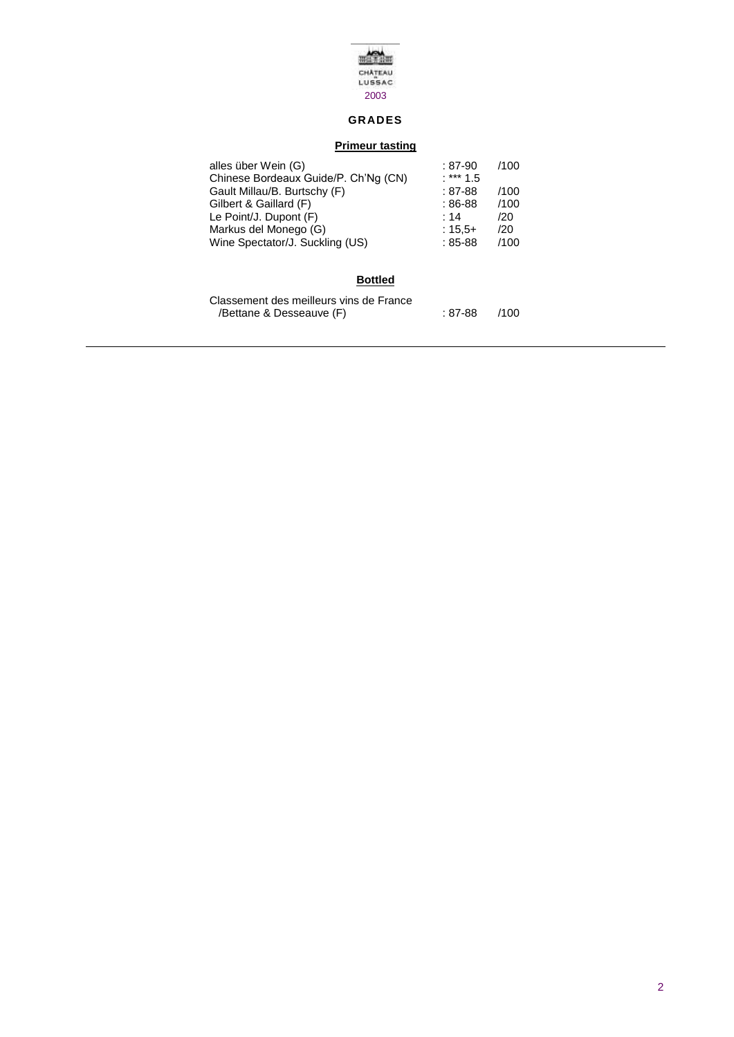

# **GRADES**

### **Primeur tasting**

| alles über Wein (G)<br>Chinese Bordeaux Guide/P. Ch'Ng (CN) | $:87-90$<br>$.***1.5$ | /100 |
|-------------------------------------------------------------|-----------------------|------|
| Gault Millau/B. Burtschy (F)                                | $:87-88$              | /100 |
| Gilbert & Gaillard (F)                                      | $:86-88$              | /100 |
| Le Point/J. Dupont (F)                                      | : 14                  | /20  |
| Markus del Monego (G)                                       | $:15.5+$              | /20  |
| Wine Spectator/J. Suckling (US)                             | $:85-88$              | /100 |
|                                                             |                       |      |

## **Bottled**

| Classement des meilleurs vins de France |         |      |
|-----------------------------------------|---------|------|
| /Bettane & Desseauve (F)                | : 87-88 | /100 |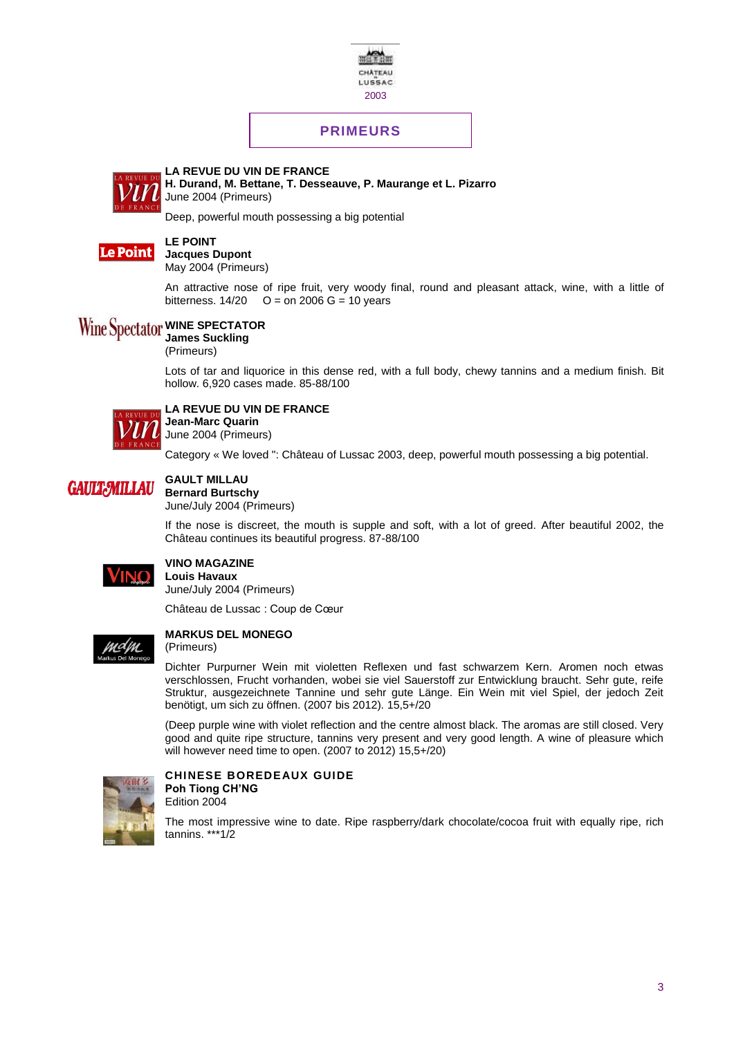

# **PRIMEURS**



**LA REVUE DU VIN DE FRANCE H. Durand, M. Bettane, T. Desseauve, P. Maurange et L. Pizarro** June 2004 (Primeurs)

Deep, powerful mouth possessing a big potential



## **LE POINT**

**Jacques Dupont** May 2004 (Primeurs)

An attractive nose of ripe fruit, very woody final, round and pleasant attack, wine, with a little of bitterness.  $14/20$  O = on 2006 G = 10 years

#### **Wine Spectator WINE SPECTATOR**

**James Suckling**

(Primeurs)

Lots of tar and liquorice in this dense red, with a full body, chewy tannins and a medium finish. Bit hollow. 6,920 cases made. 85-88/100



### **LA REVUE DU VIN DE FRANCE Jean-Marc Quarin**

June 2004 (Primeurs)

Category « We loved ": Château of Lussac 2003, deep, powerful mouth possessing a big potential.

#### **GAULT MILLAU GAULT:MILLAU Bernard Burtschy**

June/July 2004 (Primeurs)

If the nose is discreet, the mouth is supple and soft, with a lot of greed. After beautiful 2002, the Château continues its beautiful progress. 87-88/100



### **VINO MAGAZINE Louis Havaux**

June/July 2004 (Primeurs)

Château de Lussac : Coup de Cœur

### **MARKUS DEL MONEGO**

(Primeurs)

Dichter Purpurner Wein mit violetten Reflexen und fast schwarzem Kern. Aromen noch etwas verschlossen, Frucht vorhanden, wobei sie viel Sauerstoff zur Entwicklung braucht. Sehr gute, reife Struktur, ausgezeichnete Tannine und sehr gute Länge. Ein Wein mit viel Spiel, der jedoch Zeit benötigt, um sich zu öffnen. (2007 bis 2012). 15,5+/20

(Deep purple wine with violet reflection and the centre almost black. The aromas are still closed. Very good and quite ripe structure, tannins very present and very good length. A wine of pleasure which will however need time to open. (2007 to 2012) 15,5+/20)



### **CHINESE BOREDEAUX GUIDE Poh Tiong CH'NG**

Edition 2004

The most impressive wine to date. Ripe raspberry/dark chocolate/cocoa fruit with equally ripe, rich tannins. \*\*\*1/2